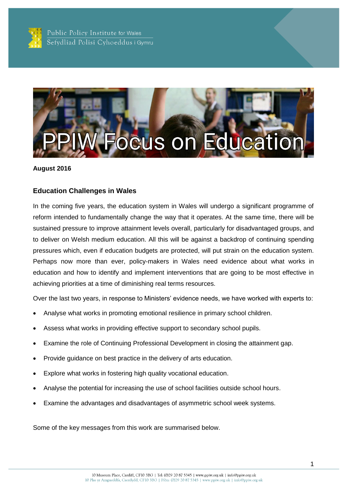



#### **August 2016**

## **Education Challenges in Wales**

In the coming five years, the education system in Wales will undergo a significant programme of reform intended to fundamentally change the way that it operates. At the same time, there will be sustained pressure to improve attainment levels overall, particularly for disadvantaged groups, and to deliver on Welsh medium education. All this will be against a backdrop of continuing spending pressures which, even if education budgets are protected, will put strain on the education system. Perhaps now more than ever, policy-makers in Wales need evidence about what works in education and how to identify and implement interventions that are going to be most effective in achieving priorities at a time of diminishing real terms resources.

Over the last two years, in response to Ministers' evidence needs, we have worked with experts to:

- Analyse what works in promoting emotional resilience in primary school children.
- Assess what works in providing effective support to secondary school pupils.
- Examine the role of Continuing Professional Development in closing the attainment gap.
- Provide guidance on best practice in the delivery of arts education.
- Explore what works in fostering high quality vocational education.
- Analyse the potential for increasing the use of school facilities outside school hours.
- Examine the advantages and disadvantages of asymmetric school week systems.

Some of the key messages from this work are summarised below.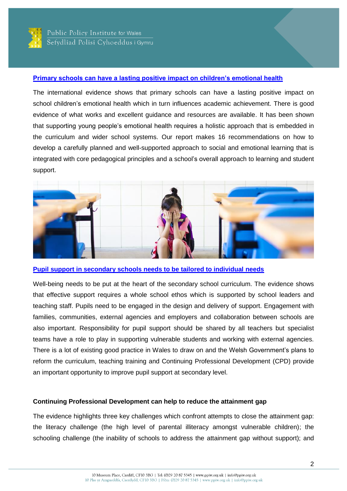

## **[Primary schools can have a lasting positive impact on children's emotional health](http://ppiw.org.uk/files/2016/02/PPIW-Report-Promoting-Emotional-Health-Well-being-and-Resilience-in-Primary-Schools-Final.pdf)**

The international evidence shows that primary schools can have a lasting positive impact on school children's emotional health which in turn influences academic achievement. There is good evidence of what works and excellent guidance and resources are available. It has been shown that supporting young people's emotional health requires a holistic approach that is embedded in the curriculum and wider school systems. Our report makes 16 recommendations on how to develop a carefully planned and well-supported approach to social and emotional learning that is integrated with core pedagogical principles and a school's overall approach to learning and student support.



**[Pupil support in secondary schools needs to be tailored to individual needs](http://ppiw.org.uk/files/2016/01/PPIW-Summary-of-Expert-Workshop-Discussion-Effective-Pupil-Support-in-Secondary-Schools-Final.pdf)**

Well-being needs to be put at the heart of the secondary school curriculum. The evidence shows that effective support requires a whole school ethos which is supported by school leaders and teaching staff. Pupils need to be engaged in the design and delivery of support. Engagement with families, communities, external agencies and employers and collaboration between schools are also important. Responsibility for pupil support should be shared by all teachers but specialist teams have a role to play in supporting vulnerable students and working with external agencies. There is a lot of existing good practice in Wales to draw on and the Welsh Government's plans to reform the curriculum, teaching training and Continuing Professional Development (CPD) provide an important opportunity to improve pupil support at secondary level.

## **Continuing Professional Development can help to reduce the attainment gap**

The evidence highlights three key challenges which confront attempts to close the attainment gap: the literacy challenge (the high level of parental illiteracy amongst vulnerable children); the schooling challenge (the inability of schools to address the attainment gap without support); and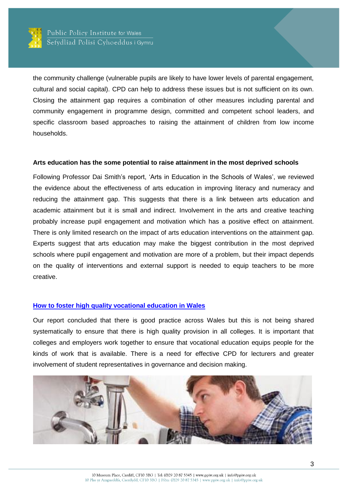

the community challenge (vulnerable pupils are likely to have lower levels of parental engagement, cultural and social capital). CPD can help to address these issues but is not sufficient on its own. Closing the attainment gap requires a combination of other measures including parental and community engagement in programme design, committed and competent school leaders, and specific classroom based approaches to raising the attainment of children from low income households.

#### **Arts education has the some potential to raise attainment in the most deprived schools**

Following Professor Dai Smith's report, 'Arts in Education in the Schools of Wales', we reviewed the evidence about the effectiveness of arts education in improving literacy and numeracy and reducing the attainment gap. This suggests that there is a link between arts education and academic attainment but it is small and indirect. Involvement in the arts and creative teaching probably increase pupil engagement and motivation which has a positive effect on attainment. There is only limited research on the impact of arts education interventions on the attainment gap. Experts suggest that arts education may make the biggest contribution in the most deprived schools where pupil engagement and motivation are more of a problem, but their impact depends on the quality of interventions and external support is needed to equip teachers to be more creative.

## **How to foster [high quality vocational education in Wales](http://ppiw.org.uk/files/2016/01/PPIW-Report-Fostering-High-Quality-Further-Education-in-Wales.pdf)**

Our report concluded that there is good practice across Wales but this is not being shared systematically to ensure that there is high quality provision in all colleges. It is important that colleges and employers work together to ensure that vocational education equips people for the kinds of work that is available. There is a need for effective CPD for lecturers and greater involvement of student representatives in governance and decision making.